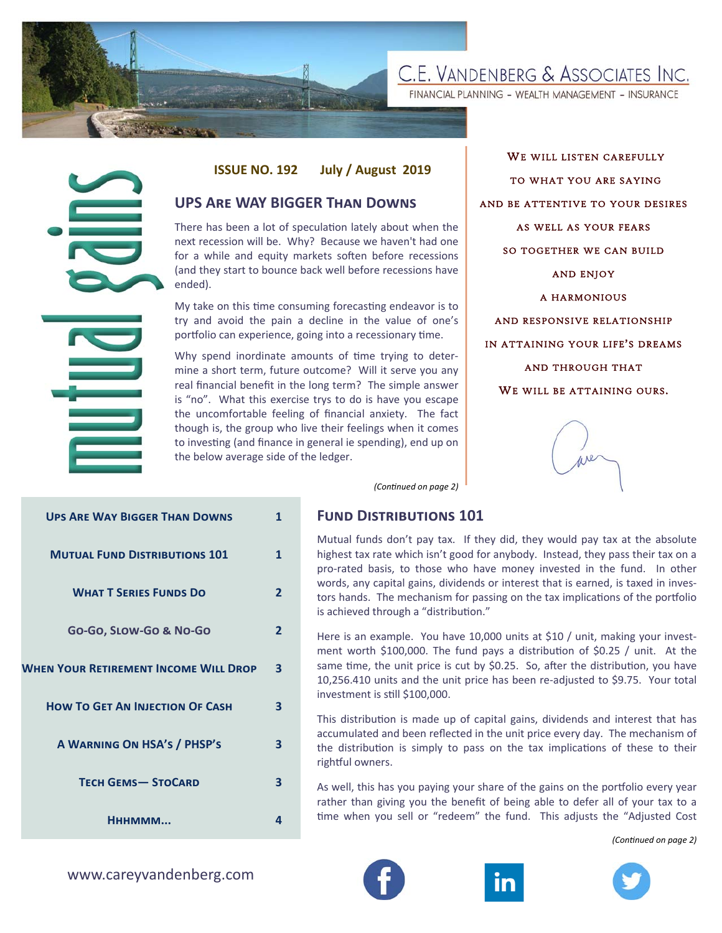

FINANCIAL PLANNING - WEALTH MANAGEMENT - INSURANCE

# **ISSUE NO. 192 July / August 2019**

# **UPS ARE WAY BIGGER THAN DOWNS**

WE WILL LISTEN CAREFULLY TO WHAT YOU ARE SAYING AND BE ATTENTIVE TO YOUR DESIRES AS WELL AS YOUR FEARS SO TOGETHER WE CAN BUILD AND ENJOY A HARMONIOUS AND RESPONSIVE RELATIONSHIP IN ATTAINING YOUR LIFE ' S DREAMS AND THROUGH THAT WE WILL BE ATTAINING OURS.



## **FUND DISTRIBUTIONS 101**

|                                                                       | <b>ISSUE NO. 192</b>                                                                                                                                                                                                                                                                                                                                                                                                                                                            |                                                                                                                                                                                                                                               | July / August 2019                                                                                                                                                                                                                                                                                                                                            |  |  |  |
|-----------------------------------------------------------------------|---------------------------------------------------------------------------------------------------------------------------------------------------------------------------------------------------------------------------------------------------------------------------------------------------------------------------------------------------------------------------------------------------------------------------------------------------------------------------------|-----------------------------------------------------------------------------------------------------------------------------------------------------------------------------------------------------------------------------------------------|---------------------------------------------------------------------------------------------------------------------------------------------------------------------------------------------------------------------------------------------------------------------------------------------------------------------------------------------------------------|--|--|--|
|                                                                       | <b>UPS ARE WAY BIGGER THAN DOWNS</b>                                                                                                                                                                                                                                                                                                                                                                                                                                            |                                                                                                                                                                                                                                               |                                                                                                                                                                                                                                                                                                                                                               |  |  |  |
| ended).                                                               |                                                                                                                                                                                                                                                                                                                                                                                                                                                                                 | There has been a lot of speculation lately about when the<br>next recession will be. Why? Because we haven't had one<br>for a while and equity markets soften before recessions<br>(and they start to bounce back well before recessions have |                                                                                                                                                                                                                                                                                                                                                               |  |  |  |
|                                                                       | My take on this time consuming forecasting endeavor is to<br>try and avoid the pain a decline in the value of one's<br>portfolio can experience, going into a recessionary time.                                                                                                                                                                                                                                                                                                |                                                                                                                                                                                                                                               |                                                                                                                                                                                                                                                                                                                                                               |  |  |  |
|                                                                       | Why spend inordinate amounts of time trying to deter-<br>mine a short term, future outcome? Will it serve you any<br>real financial benefit in the long term? The simple answer<br>is "no". What this exercise trys to do is have you escape<br>the uncomfortable feeling of financial anxiety. The fact<br>though is, the group who live their feelings when it comes<br>to investing (and finance in general ie spending), end up on<br>the below average side of the ledger. |                                                                                                                                                                                                                                               |                                                                                                                                                                                                                                                                                                                                                               |  |  |  |
|                                                                       |                                                                                                                                                                                                                                                                                                                                                                                                                                                                                 |                                                                                                                                                                                                                                               | (Continued on page 2)                                                                                                                                                                                                                                                                                                                                         |  |  |  |
| <b>UPS ARE WAY BIGGER THAN DOWNS</b>                                  |                                                                                                                                                                                                                                                                                                                                                                                                                                                                                 | $\mathbf{1}$                                                                                                                                                                                                                                  | <b>FUND DISTRIBUTIONS 1</b>                                                                                                                                                                                                                                                                                                                                   |  |  |  |
| <b>MUTUAL FUND DISTRIBUTIONS 101</b><br><b>WHAT T SERIES FUNDS DO</b> |                                                                                                                                                                                                                                                                                                                                                                                                                                                                                 | $\mathbf{1}$<br>$\overline{2}$                                                                                                                                                                                                                | Mutual funds don't pay tax.<br>highest tax rate which isn't go<br>pro-rated basis, to those wh<br>words, any capital gains, divid<br>tors hands. The mechanism fo<br>is achieved through a "distribu                                                                                                                                                          |  |  |  |
| Go-Go, SLOW-Go & No-Go                                                |                                                                                                                                                                                                                                                                                                                                                                                                                                                                                 | $\mathbf{2}$                                                                                                                                                                                                                                  | Here is an example. You have<br>ment worth \$100,000. The fu<br>same time, the unit price is cu<br>10,256.410 units and the unit<br>investment is still \$100,000.<br>This distribution is made up o<br>accumulated and been reflect<br>the distribution is simply to<br>rightful owners.<br>As well, this has you paying yo<br>rather than giving you the be |  |  |  |
| <b>WHEN YOUR RETIREMENT INCOME WILL DROP</b>                          |                                                                                                                                                                                                                                                                                                                                                                                                                                                                                 | 3                                                                                                                                                                                                                                             |                                                                                                                                                                                                                                                                                                                                                               |  |  |  |
| <b>HOW TO GET AN INJECTION OF CASH</b>                                |                                                                                                                                                                                                                                                                                                                                                                                                                                                                                 | $\overline{\mathbf{3}}$                                                                                                                                                                                                                       |                                                                                                                                                                                                                                                                                                                                                               |  |  |  |
| A WARNING ON HSA'S / PHSP'S                                           |                                                                                                                                                                                                                                                                                                                                                                                                                                                                                 | 3                                                                                                                                                                                                                                             |                                                                                                                                                                                                                                                                                                                                                               |  |  |  |
| <b>TECH GEMS-STOCARD</b>                                              |                                                                                                                                                                                                                                                                                                                                                                                                                                                                                 | 3                                                                                                                                                                                                                                             |                                                                                                                                                                                                                                                                                                                                                               |  |  |  |
| Нннммм                                                                |                                                                                                                                                                                                                                                                                                                                                                                                                                                                                 | 4                                                                                                                                                                                                                                             | time when you sell or "redee                                                                                                                                                                                                                                                                                                                                  |  |  |  |
| www.careyvandenberg.com                                               |                                                                                                                                                                                                                                                                                                                                                                                                                                                                                 |                                                                                                                                                                                                                                               |                                                                                                                                                                                                                                                                                                                                                               |  |  |  |

Mutual funds don't pay tax. If they did, they would pay tax at the absolute highest tax rate which isn't good for anybody. Instead, they pass their tax on a pro-rated basis, to those who have money invested in the fund. In other words, any capital gains, dividends or interest that is earned, is taxed in investors hands. The mechanism for passing on the tax implications of the portfolio is achieved through a "distribution."

Here is an example. You have 10,000 units at \$10 / unit, making your investment worth \$100,000. The fund pays a distribution of \$0.25 / unit. At the same time, the unit price is cut by \$0.25. So, after the distribution, you have 10,256.410 units and the unit price has been re-adjusted to \$9.75. Your total investment is still \$100,000.

This distribution is made up of capital gains, dividends and interest that has accumulated and been reflected in the unit price every day. The mechanism of the distribution is simply to pass on the tax implications of these to their rightful owners.

As well, this has you paying your share of the gains on the portfolio every year rather than giving you the benefit of being able to defer all of your tax to a time when you sell or "redeem" the fund. This adjusts the "Adjusted Cost

*(ConƟnued on page 2)* 





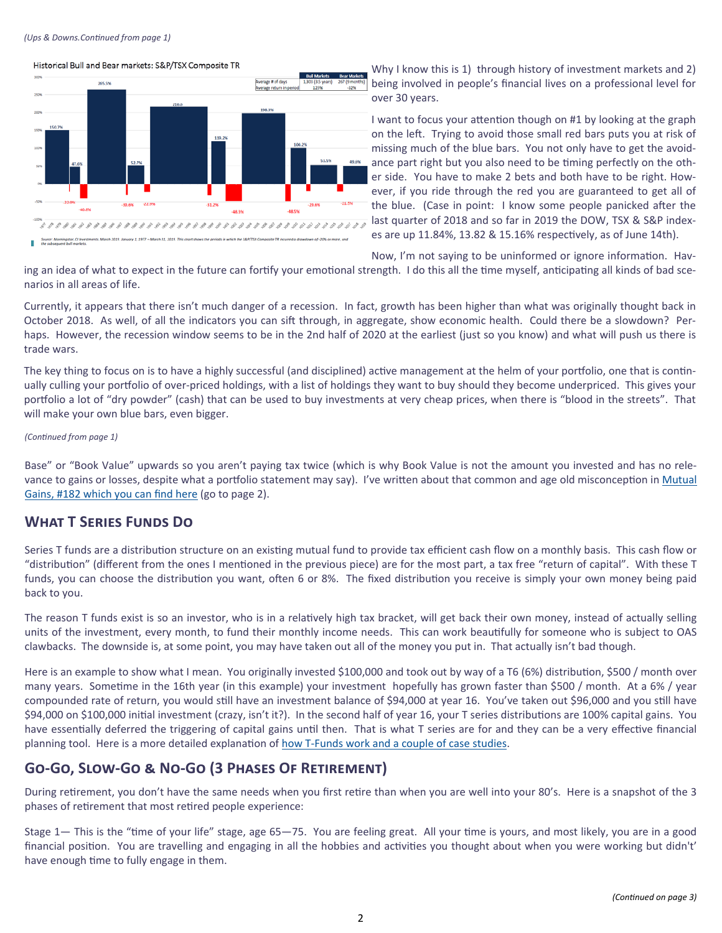### *(Ups & Downs.ConƟnued from page 1)*

# Historical Bull and Bear markets: S&P/TSX Composite TR 265.5% erage return in pe 198.39 30.6%  $-22.9%$  $-31.29$  $-40.8%$  $-48.3%$ 48.5% ery 1, 1977 - March 31, 2019. This chart sh

Why I know this is 1) through history of investment markets and 2) being involved in people's financial lives on a professional level for over 30 years.

I want to focus your attention though on #1 by looking at the graph on the left. Trying to avoid those small red bars puts you at risk of missing much of the blue bars. You not only have to get the avoidance part right but you also need to be timing perfectly on the other side. You have to make 2 bets and both have to be right. However, if you ride through the red you are guaranteed to get all of the blue. (Case in point: I know some people panicked after the last quarter of 2018 and so far in 2019 the DOW, TSX & S&P indexes are up 11.84%, 13.82 & 15.16% respectively, as of June 14th).

Now, I'm not saying to be uninformed or ignore information. Hav-

ing an idea of what to expect in the future can fortify your emotional strength. I do this all the time myself, anticipating all kinds of bad scenarios in all areas of life.

Currently, it appears that there isn't much danger of a recession. In fact, growth has been higher than what was originally thought back in October 2018. As well, of all the indicators you can sift through, in aggregate, show economic health. Could there be a slowdown? Perhaps. However, the recession window seems to be in the 2nd half of 2020 at the earliest (just so you know) and what will push us there is trade wars.

The key thing to focus on is to have a highly successful (and disciplined) active management at the helm of your portfolio, one that is continually culling your portfolio of over-priced holdings, with a list of holdings they want to buy should they become underpriced. This gives your portfolio a lot of "dry powder" (cash) that can be used to buy investments at very cheap prices, when there is "blood in the streets". That will make your own blue bars, even bigger.

## *(ConƟnued from page 1)*

Base" or "Book Value" upwards so you aren't paying tax twice (which is why Book Value is not the amount you invested and has no relevance to gains or losses, despite what a portfolio statement may say). I've written about that common and age old misconception in Mutual Gains, #182 which you can find here (go to page 2).

# **WHAT T SERIES FUNDS DO**

Series T funds are a distribution structure on an existing mutual fund to provide tax efficient cash flow on a monthly basis. This cash flow or "distribution" (different from the ones I mentioned in the previous piece) are for the most part, a tax free "return of capital". With these T funds, you can choose the distribution you want, often 6 or 8%. The fixed distribution you receive is simply your own money being paid back to you.

The reason T funds exist is so an investor, who is in a relatively high tax bracket, will get back their own money, instead of actually selling units of the investment, every month, to fund their monthly income needs. This can work beautifully for someone who is subject to OAS clawbacks. The downside is, at some point, you may have taken out all of the money you put in. That actually isn't bad though.

Here is an example to show what I mean. You originally invested \$100,000 and took out by way of a T6 (6%) distribution, \$500 / month over many years. Sometime in the 16th year (in this example) your investment hopefully has grown faster than \$500 / month. At a 6% / year compounded rate of return, you would still have an investment balance of \$94,000 at year 16. You've taken out \$96,000 and you still have \$94,000 on \$100,000 initial investment (crazy, isn't it?). In the second half of year 16, your T series distributions are 100% capital gains. You have essentially deferred the triggering of capital gains until then. That is what T series are for and they can be a very effective financial planning tool. Here is a more detailed explanation of how T-Funds work and a couple of case studies.

# **GO-GO, SLOW-GO & NO-GO (3 PHASES OF RETIREMENT)**

During retirement, you don't have the same needs when you first retire than when you are well into your 80's. Here is a snapshot of the 3 phases of retirement that most retired people experience:

Stage 1- This is the "time of your life" stage, age 65-75. You are feeling great. All your time is yours, and most likely, you are in a good financial position. You are travelling and engaging in all the hobbies and activities you thought about when you were working but didn't' have enough time to fully engage in them.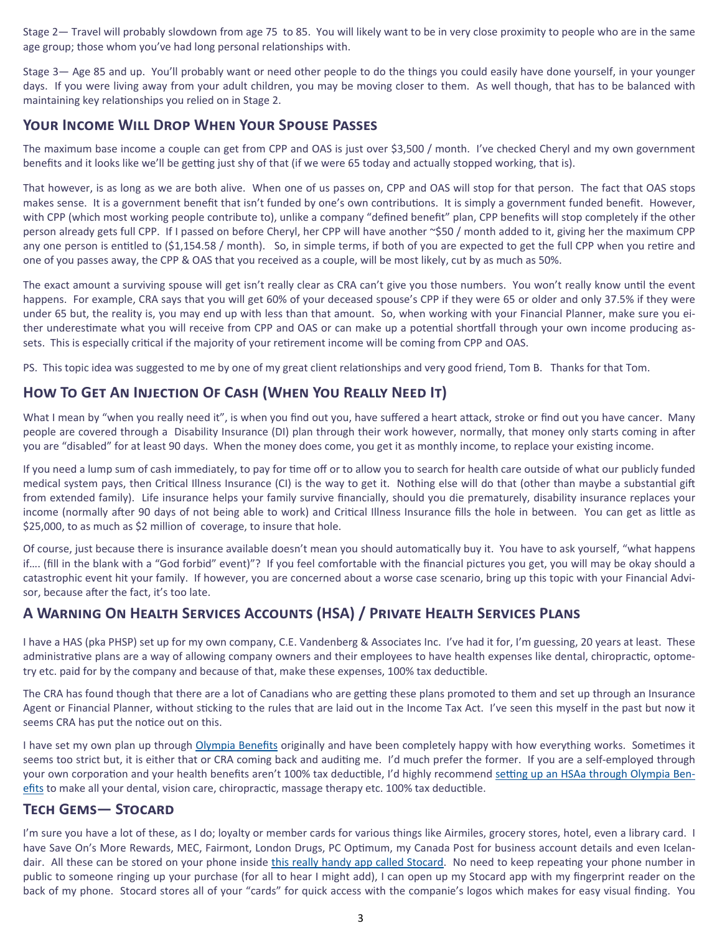Stage 2- Travel will probably slowdown from age 75 to 85. You will likely want to be in very close proximity to people who are in the same age group; those whom you've had long personal relationships with.

Stage 3— Age 85 and up. You'll probably want or need other people to do the things you could easily have done yourself, in your younger days. If you were living away from your adult children, you may be moving closer to them. As well though, that has to be balanced with maintaining key relationships you relied on in Stage 2.

# **YOUR INCOME WILL DROP WHEN YOUR SPOUSE PASSES**

The maximum base income a couple can get from CPP and OAS is just over \$3,500 / month. I've checked Cheryl and my own government benefits and it looks like we'll be getting just shy of that (if we were 65 today and actually stopped working, that is).

That however, is as long as we are both alive. When one of us passes on, CPP and OAS will stop for that person. The fact that OAS stops makes sense. It is a government benefit that isn't funded by one's own contributions. It is simply a government funded benefit. However, with CPP (which most working people contribute to), unlike a company "defined benefit" plan, CPP benefits will stop completely if the other person already gets full CPP. If I passed on before Cheryl, her CPP will have another ~\$50 / month added to it, giving her the maximum CPP any one person is entitled to (\$1,154.58 / month). So, in simple terms, if both of you are expected to get the full CPP when you retire and one of you passes away, the CPP & OAS that you received as a couple, will be most likely, cut by as much as 50%.

The exact amount a surviving spouse will get isn't really clear as CRA can't give you those numbers. You won't really know until the event happens. For example, CRA says that you will get 60% of your deceased spouse's CPP if they were 65 or older and only 37.5% if they were under 65 but, the reality is, you may end up with less than that amount. So, when working with your Financial Planner, make sure you either underestimate what you will receive from CPP and OAS or can make up a potential shortfall through your own income producing assets. This is especially critical if the majority of your retirement income will be coming from CPP and OAS.

PS. This topic idea was suggested to me by one of my great client relationships and very good friend, Tom B. Thanks for that Tom.

# HOW TO GET AN INJECTION OF CASH (WHEN YOU REALLY NEED IT)

What I mean by "when you really need it", is when you find out you, have suffered a heart attack, stroke or find out you have cancer. Many people are covered through a Disability Insurance (DI) plan through their work however, normally, that money only starts coming in after you are "disabled" for at least 90 days. When the money does come, you get it as monthly income, to replace your existing income.

If you need a lump sum of cash immediately, to pay for time off or to allow you to search for health care outside of what our publicly funded medical system pays, then Critical Illness Insurance (CI) is the way to get it. Nothing else will do that (other than maybe a substantial gift from extended family). Life insurance helps your family survive financially, should you die prematurely, disability insurance replaces your income (normally after 90 days of not being able to work) and Critical Illness Insurance fills the hole in between. You can get as little as \$25,000, to as much as \$2 million of coverage, to insure that hole.

Of course, just because there is insurance available doesn't mean you should automatically buy it. You have to ask yourself, "what happens if.... (fill in the blank with a "God forbid" event)"? If you feel comfortable with the financial pictures you get, you will may be okay should a catastrophic event hit your family. If however, you are concerned about a worse case scenario, bring up this topic with your Financial Advisor, because after the fact, it's too late.

# A WARNING ON HEALTH SERVICES ACCOUNTS (HSA) / PRIVATE HEALTH SERVICES PLANS

I have a HAS (pka PHSP) set up for my own company, C.E. Vandenberg & Associates Inc. I've had it for, I'm guessing, 20 years at least. These administrative plans are a way of allowing company owners and their employees to have health expenses like dental, chiropractic, optometry etc. paid for by the company and because of that, make these expenses, 100% tax deductible.

The CRA has found though that there are a lot of Canadians who are getting these plans promoted to them and set up through an Insurance Agent or Financial Planner, without sticking to the rules that are laid out in the Income Tax Act. I've seen this myself in the past but now it seems CRA has put the notice out on this.

I have set my own plan up through Olympia Benefits originally and have been completely happy with how everything works. Sometimes it seems too strict but, it is either that or CRA coming back and auditing me. I'd much prefer the former. If you are a self-employed through your own corporation and your health benefits aren't 100% tax deductible, I'd highly recommend setting up an HSAa through Olympia Benefits to make all your dental, vision care, chiropractic, massage therapy etc. 100% tax deductible.

# **TECH GEMS-STOCARD**

I'm sure you have a lot of these, as I do; loyalty or member cards for various things like Airmiles, grocery stores, hotel, even a library card. I have Save On's More Rewards, MEC, Fairmont, London Drugs, PC Optimum, my Canada Post for business account details and even Icelandair. All these can be stored on your phone inside this really handy app called Stocard. No need to keep repeating your phone number in public to someone ringing up your purchase (for all to hear I might add), I can open up my Stocard app with my fingerprint reader on the back of my phone. Stocard stores all of your "cards" for quick access with the companie's logos which makes for easy visual finding. You